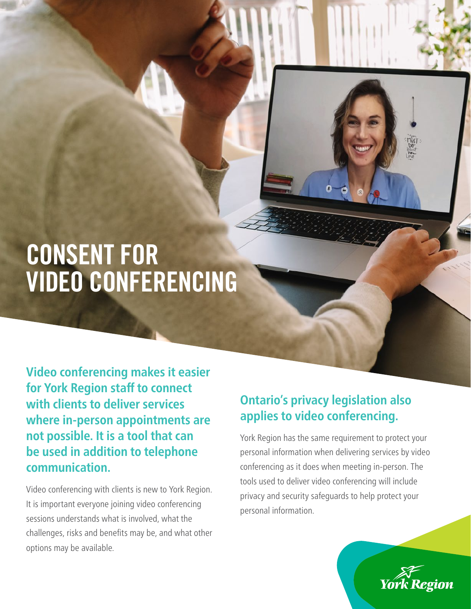## CONSENT FOR VIDEO CONFERENCING

**Video conferencing makes it easier for York Region staff to connect with clients to deliver services where in-person appointments are not possible. It is a tool that can be used in addition to telephone communication.**

Video conferencing with clients is new to York Region. It is important everyone joining video conferencing sessions understands what is involved, what the challenges, risks and benefits may be, and what other options may be available.

## **Ontario's privacy legislation also applies to video conferencing.**

York Region has the same requirement to protect your personal information when delivering services by video conferencing as it does when meeting in-person. The tools used to deliver video conferencing will include privacy and security safeguards to help protect your personal information.



20-6267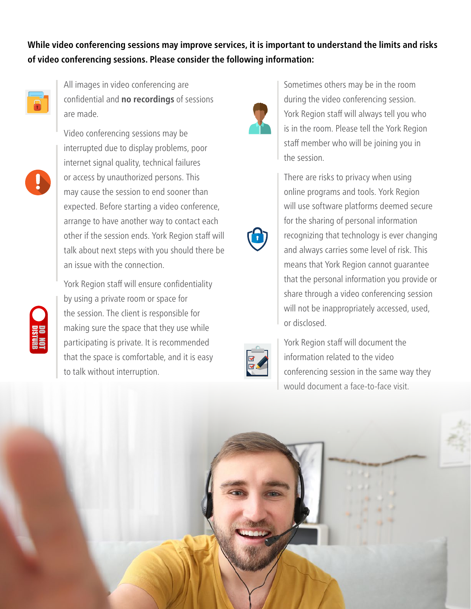**While video conferencing sessions may improve services, it is important to understand the limits and risks of video conferencing sessions. Please consider the following information:**



All images in video conferencing are confidential and **no recordings** of sessions are made.

Video conferencing sessions may be interrupted due to display problems, poor internet signal quality, technical failures or access by unauthorized persons. This may cause the session to end sooner than expected. Before starting a video conference, arrange to have another way to contact each other if the session ends. York Region staff will talk about next steps with you should there be an issue with the connection.



York Region staff will ensure confidentiality by using a private room or space for the session. The client is responsible for making sure the space that they use while participating is private. It is recommended that the space is comfortable, and it is easy to talk without interruption.



Sometimes others may be in the room during the video conferencing session. York Region staff will always tell you who is in the room. Please tell the York Region staff member who will be joining you in the session.

There are risks to privacy when using online programs and tools. York Region will use software platforms deemed secure for the sharing of personal information recognizing that technology is ever changing and always carries some level of risk. This means that York Region cannot guarantee that the personal information you provide or share through a video conferencing session will not be inappropriately accessed, used, or disclosed.



York Region staff will document the information related to the video conferencing session in the same way they would document a face-to-face visit.